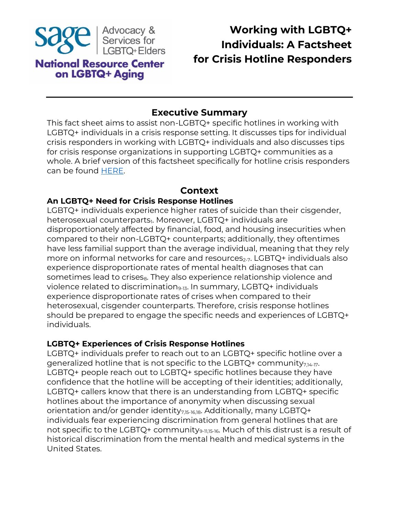

# **Working with LGBTQ+ Individuals: A Factsheet for Crisis Hotline Responders**

## **Executive Summary**

This fact sheet aims to assist non-LGBTQ+ specific hotlines in working with LGBTQ+ individuals in a crisis response setting. It discusses tips for individual crisis responders in working with LGBTQ+ individuals and also discusses tips for crisis response organizations in supporting LGBTQ+ communities as a whole. A brief version of this factsheet specifically for hotline crisis responders can be found [HERE.](https://www.lgbtagingcenter.org/resources/resource.cfm?r=2105&testView=1&_gl=1*1ck5cyx*_ga*MTMxMTY4NDc3OC4xNjUyNzI4NjI1*_ga_YKVT8DY5PC*MTY1MzUxMTI3MC4zLjEuMTY1MzUxMjA4NC4w)

## **Context**

#### **An LGBTQ+ Need for Crisis Response Hotlines**

LGBTQ+ individuals experience higher rates of suicide than their cisgender, heterosexual counterparts<sub>1</sub>. Moreover, LGBTQ+ individuals are disproportionately affected by financial, food, and housing insecurities when compared to their non-LGBTQ+ counterparts; additionally, they oftentimes have less familial support than the average individual, meaning that they rely more on informal networks for care and resources<sub>2-7</sub>. LGBTQ+ individuals also experience disproportionate rates of mental health diagnoses that can sometimes lead to crises<sub>8</sub>. They also experience relationship violence and violence related to discrimination<sub>9-13</sub>. In summary, LGBTQ+ individuals experience disproportionate rates of crises when compared to their heterosexual, cisgender counterparts. Therefore, crisis response hotlines should be prepared to engage the specific needs and experiences of LGBTQ+ individuals.

#### **LGBTQ+ Experiences of Crisis Response Hotlines**

LGBTQ+ individuals prefer to reach out to an LGBTQ+ specific hotline over a generalized hotline that is not specific to the LGBTQ+ community $_{7,14-17}$ . LGBTQ+ people reach out to LGBTQ+ specific hotlines because they have confidence that the hotline will be accepting of their identities; additionally, LGBTQ+ callers know that there is an understanding from LGBTQ+ specific hotlines about the importance of anonymity when discussing sexual orientation and/or gender identity<sub>7,15-16,18</sub>. Additionally, many LGBTQ+ individuals fear experiencing discrimination from general hotlines that are not specific to the LGBTQ+ community<sub>9-11,15-16</sub>. Much of this distrust is a result of historical discrimination from the mental health and medical systems in the United States.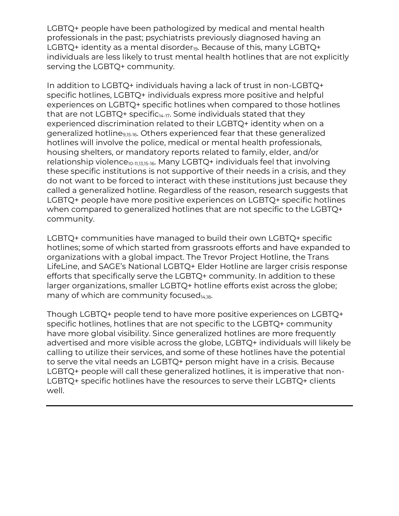LGBTQ+ people have been pathologized by medical and mental health professionals in the past; psychiatrists previously diagnosed having an LGBTQ+ identity as a mental disorder $_{19}$ . Because of this, many LGBTQ+ individuals are less likely to trust mental health hotlines that are not explicitly serving the LGBTQ+ community.

In addition to LGBTQ+ individuals having a lack of trust in non-LGBTQ+ specific hotlines, LGBTQ+ individuals express more positive and helpful experiences on LGBTQ+ specific hotlines when compared to those hotlines that are not LGBTQ+ specific $_{14-17}$ . Some individuals stated that they experienced discrimination related to their LGBTQ+ identity when on a generalized hotline<sub>9,15-16</sub>. Others experienced fear that these generalized hotlines will involve the police, medical or mental health professionals, housing shelters, or mandatory reports related to family, elder, and/or relationship violence<sub>10-11,13,15-16</sub>. Many LGBTQ+ individuals feel that involving these specific institutions is not supportive of their needs in a crisis, and they do not want to be forced to interact with these institutions just because they called a generalized hotline. Regardless of the reason, research suggests that LGBTQ+ people have more positive experiences on LGBTQ+ specific hotlines when compared to generalized hotlines that are not specific to the LGBTQ+ community.

LGBTQ+ communities have managed to build their own LGBTQ+ specific hotlines; some of which started from grassroots efforts and have expanded to organizations with a global impact. The Trevor Project Hotline, the Trans LifeLine, and SAGE's National LGBTQ+ Elder Hotline are larger crisis response efforts that specifically serve the LGBTQ+ community. In addition to these larger organizations, smaller LGBTQ+ hotline efforts exist across the globe; many of which are community focused $_{14,18}$ .

Though LGBTQ+ people tend to have more positive experiences on LGBTQ+ specific hotlines, hotlines that are not specific to the LGBTQ+ community have more global visibility. Since generalized hotlines are more frequently advertised and more visible across the globe, LGBTQ+ individuals will likely be calling to utilize their services, and some of these hotlines have the potential to serve the vital needs an LGBTQ+ person might have in a crisis. Because LGBTQ+ people will call these generalized hotlines, it is imperative that non-LGBTQ+ specific hotlines have the resources to serve their LGBTQ+ clients well.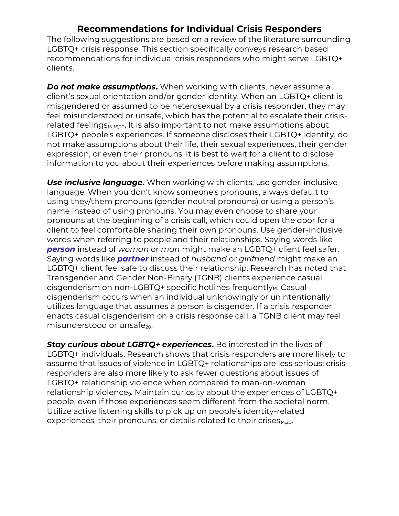## **Recommendations for Individual Crisis Responders**

The following suggestions are based on a review of the literature surrounding LGBTQ+ crisis response. This section specifically conveys research based recommendations for individual crisis responders who might serve LGBTQ+ clients.

*Do not make assumptions*. When working with clients, never assume a client's sexual orientation and/or gender identity. When an LGBTQ+ client is misgendered or assumed to be heterosexual by a crisis responder, they may feel misunderstood or unsafe, which has the potential to escalate their crisisrelated feelings<sub>15-16,20</sub>. It is also important to not make assumptions about LGBTQ+ people's experiences. If someone discloses their LGBTQ+ identity, do not make assumptions about their life, their sexual experiences, their gender expression, or even their pronouns. It is best to wait for a client to disclose information to you about their experiences before making assumptions.

*Use inclusive language***.** When working with clients, use gender-inclusive language. When you don't know someone's pronouns, always default to using they/them pronouns (gender neutral pronouns) or using a person's name instead of using pronouns. You may even choose to share your pronouns at the beginning of a crisis call, which could open the door for a client to feel comfortable sharing their own pronouns. Use gender-inclusive words when referring to people and their relationships. Saying words like *person* instead of *woman* or *man* might make an LGBTQ+ client feel safer. Saying words like *partner* instead of *husband* or *girlfriend* might make an LGBTQ+ client feel safe to discuss their relationship. Research has noted that Transgender and Gender Non-Binary (TGNB) clients experience casual cisgenderism on non-LGBTQ+ specific hotlines frequently<sub>16</sub>. Casual cisgenderism occurs when an individual unknowingly or unintentionally utilizes language that assumes a person is cisgender. If a crisis responder enacts casual cisgenderism on a crisis response call, a TGNB client may feel misunderstood or unsafe $_{20}$ .

*Stay curious about LGBTQ+ experiences***.** Be interested in the lives of LGBTQ+ individuals. Research shows that crisis responders are more likely to assume that issues of violence in LGBTQ+ relationships are less serious; crisis responders are also more likely to ask fewer questions about issues of LGBTQ+ relationship violence when compared to man-on-woman relationship violence<sub>9</sub>. Maintain curiosity about the experiences of LGBTQ+ people, even if those experiences seem different from the societal norm. Utilize active listening skills to pick up on people's identity-related experiences, their pronouns, or details related to their crises $_{14,20}$ .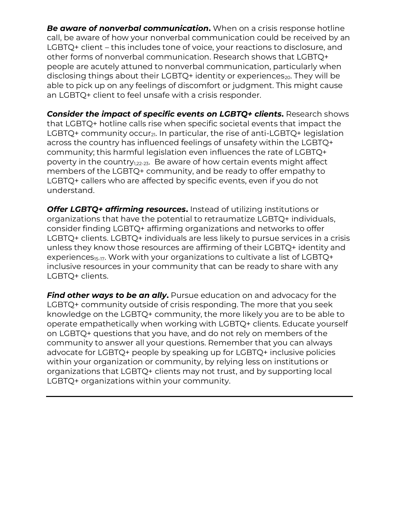*Be aware of nonverbal communication***.** When on a crisis response hotline call, be aware of how your nonverbal communication could be received by an LGBTQ+ client – this includes tone of voice, your reactions to disclosure, and other forms of nonverbal communication. Research shows that LGBTQ+ people are acutely attuned to nonverbal communication, particularly when disclosing things about their LGBTQ+ identity or experiences<sub>20</sub>. They will be able to pick up on any feelings of discomfort or judgment. This might cause an LGBTQ+ client to feel unsafe with a crisis responder.

*Consider the impact of specific events on LGBTQ+ clients***.** Research shows that LGBTQ+ hotline calls rise when specific societal events that impact the LGBTQ+ community occur<sub>21</sub>. In particular, the rise of anti-LGBTQ+ legislation across the country has influenced feelings of unsafety within the LGBTQ+ community; this harmful legislation even influences the rate of LGBTQ+ poverty in the country<sub>1,22-23</sub>. Be aware of how certain events might affect members of the LGBTQ+ community, and be ready to offer empathy to LGBTQ+ callers who are affected by specific events, even if you do not understand.

*Offer LGBTQ+ affirming resources***.** Instead of utilizing institutions or organizations that have the potential to retraumatize LGBTQ+ individuals, consider finding LGBTQ+ affirming organizations and networks to offer LGBTQ+ clients. LGBTQ+ individuals are less likely to pursue services in a crisis unless they know those resources are affirming of their LGBTQ+ identity and experiences<sub>15-17</sub>. Work with your organizations to cultivate a list of LGBTQ+ inclusive resources in your community that can be ready to share with any LGBTQ+ clients.

*Find other ways to be an ally*. Pursue education on and advocacy for the LGBTQ+ community outside of crisis responding. The more that you seek knowledge on the LGBTQ+ community, the more likely you are to be able to operate empathetically when working with LGBTQ+ clients. Educate yourself on LGBTQ+ questions that you have, and do not rely on members of the community to answer all your questions. Remember that you can always advocate for LGBTQ+ people by speaking up for LGBTQ+ inclusive policies within your organization or community, by relying less on institutions or organizations that LGBTQ+ clients may not trust, and by supporting local LGBTQ+ organizations within your community.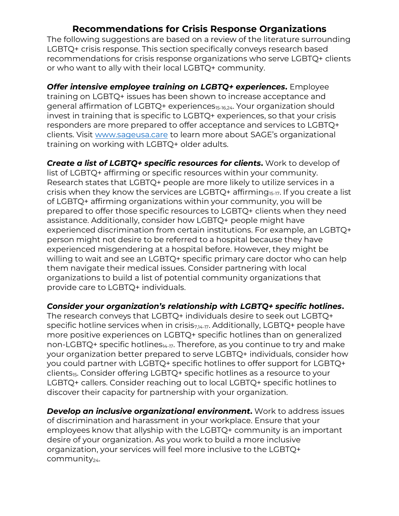## **Recommendations for Crisis Response Organizations**

The following suggestions are based on a review of the literature surrounding LGBTQ+ crisis response. This section specifically conveys research based recommendations for crisis response organizations who serve LGBTQ+ clients or who want to ally with their local LGBTQ+ community.

*Offer intensive employee training on LGBTQ+ experiences***.** Employee training on LGBTQ+ issues has been shown to increase acceptance and general affirmation of LGBTQ+ experiences<sub>15-16,24</sub>. Your organization should invest in training that is specific to LGBTQ+ experiences, so that your crisis responders are more prepared to offer acceptance and services to LGBTQ+ clients. Visit [www.sageusa.care](http://www.sageusa.care/) to learn more about SAGE's organizational training on working with LGBTQ+ older adults.

*Create a list of LGBTQ+ specific resources for clients***.** Work to develop of list of LGBTQ+ affirming or specific resources within your community. Research states that LGBTQ+ people are more likely to utilize services in a crisis when they know the services are LGBTQ+ affirming<sub>15-17</sub>. If you create a list of LGBTQ+ affirming organizations within your community, you will be prepared to offer those specific resources to LGBTQ+ clients when they need assistance. Additionally, consider how LGBTQ+ people might have experienced discrimination from certain institutions. For example, an LGBTQ+ person might not desire to be referred to a hospital because they have experienced misgendering at a hospital before. However, they might be willing to wait and see an LGBTQ+ specific primary care doctor who can help them navigate their medical issues. Consider partnering with local organizations to build a list of potential community organizations that provide care to LGBTQ+ individuals.

*Consider your organization's relationship with LGBTQ+ specific hotlines***.**

The research conveys that LGBTQ+ individuals desire to seek out LGBTQ+ specific hotline services when in crisis $_{7,14-17}$ . Additionally, LGBTQ+ people have more positive experiences on LGBTQ+ specific hotlines than on generalized non-LGBTQ+ specific hotlines $_{14-17}$ . Therefore, as you continue to try and make your organization better prepared to serve LGBTQ+ individuals, consider how you could partner with LGBTQ+ specific hotlines to offer support for LGBTQ+ clients<sub>15</sub>. Consider offering LGBTQ+ specific hotlines as a resource to your LGBTQ+ callers. Consider reaching out to local LGBTQ+ specific hotlines to discover their capacity for partnership with your organization.

*Develop an inclusive organizational environment***.** Work to address issues of discrimination and harassment in your workplace. Ensure that your employees know that allyship with the LGBTQ+ community is an important desire of your organization. As you work to build a more inclusive organization, your services will feel more inclusive to the LGBTQ+ community $_{24}$ .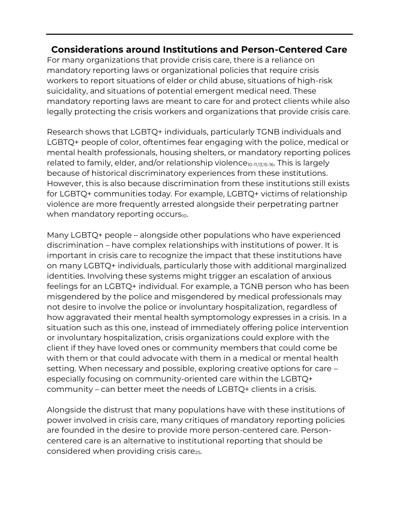## **Considerations around Institutions and Person-Centered Care**

For many organizations that provide crisis care, there is a reliance on mandatory reporting laws or organizational policies that require crisis workers to report situations of elder or child abuse, situations of high-risk suicidality, and situations of potential emergent medical need. These mandatory reporting laws are meant to care for and protect clients while also legally protecting the crisis workers and organizations that provide crisis care.

Research shows that LGBTQ+ individuals, particularly TGNB individuals and LGBTQ+ people of color, oftentimes fear engaging with the police, medical or mental health professionals, housing shelters, or mandatory reporting polices related to family, elder, and/or relationship violence<sub>10-11,13,15-16</sub>. This is largely because of historical discriminatory experiences from these institutions. However, this is also because discrimination from these institutions still exists for LGBTQ+ communities today. For example, LGBTQ+ victims of relationship violence are more frequently arrested alongside their perpetrating partner when mandatory reporting occurs $_{10}$ .

Many LGBTQ+ people – alongside other populations who have experienced discrimination – have complex relationships with institutions of power. It is important in crisis care to recognize the impact that these institutions have on many LGBTQ+ individuals, particularly those with additional marginalized identities. Involving these systems might trigger an escalation of anxious feelings for an LGBTQ+ individual. For example, a TGNB person who has been misgendered by the police and misgendered by medical professionals may not desire to involve the police or involuntary hospitalization, regardless of how aggravated their mental health symptomology expresses in a crisis. In a situation such as this one, instead of immediately offering police intervention or involuntary hospitalization, crisis organizations could explore with the client if they have loved ones or community members that could come be with them or that could advocate with them in a medical or mental health setting. When necessary and possible, exploring creative options for care – especially focusing on community-oriented care within the LGBTQ+ community – can better meet the needs of LGBTQ+ clients in a crisis.

Alongside the distrust that many populations have with these institutions of power involved in crisis care, many critiques of mandatory reporting policies are founded in the desire to provide more person-centered care. Personcentered care is an alternative to institutional reporting that should be considered when providing crisis care<sub>25</sub>.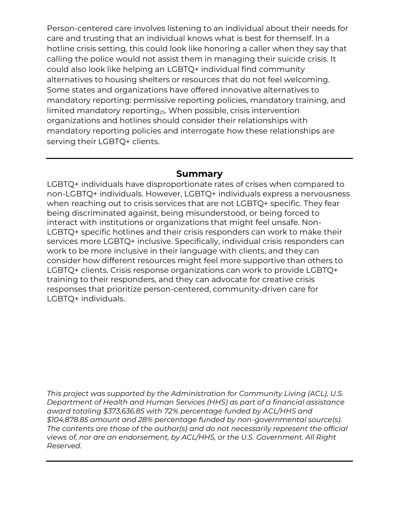Person-centered care involves listening to an individual about their needs for care and trusting that an individual knows what is best for themself. In a hotline crisis setting, this could look like honoring a caller when they say that calling the police would not assist them in managing their suicide crisis. It could also look like helping an LGBTQ+ individual find community alternatives to housing shelters or resources that do not feel welcoming. Some states and organizations have offered innovative alternatives to mandatory reporting: permissive reporting policies, mandatory training, and limited mandatory reporting<sub>25</sub>. When possible, crisis intervention organizations and hotlines should consider their relationships with mandatory reporting policies and interrogate how these relationships are serving their LGBTQ+ clients.

### **Summary**

LGBTQ+ individuals have disproportionate rates of crises when compared to non-LGBTQ+ individuals. However, LGBTQ+ individuals express a nervousness when reaching out to crisis services that are not LGBTQ+ specific. They fear being discriminated against, being misunderstood, or being forced to interact with institutions or organizations that might feel unsafe. Non-LGBTQ+ specific hotlines and their crisis responders can work to make their services more LGBTQ+ inclusive. Specifically, individual crisis responders can work to be more inclusive in their language with clients, and they can consider how different resources might feel more supportive than others to LGBTQ+ clients. Crisis response organizations can work to provide LGBTQ+ training to their responders, and they can advocate for creative crisis responses that prioritize person-centered, community-driven care for LGBTQ+ individuals.

*This project was supported by the Administration for Community Living (ACL), U.S. Department of Health and Human Services (HHS) as part of a financial assistance award totaling \$373,636.85 with 72% percentage funded by ACL/HHS and \$104,878.85 amount and 28% percentage funded by non-governmental source(s). The contents are those of the author(s) and do not necessarily represent the official views of, nor are an endorsement, by ACL/HHS, or the U.S. Government. All Right Reserved.*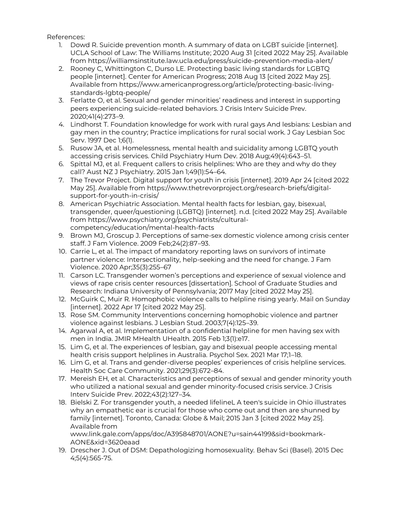References:

- 1. Dowd R. Suicide prevention month. A summary of data on LGBT suicide [internet]. UCLA School of Law: The Williams Institute; 2020 Aug 31 [cited 2022 May 25]. Available from<https://williamsinstitute.law.ucla.edu/press/suicide-prevention-media-alert/>
- 2. Rooney C, Whittington C, Durso LE. Protecting basic living standards for LGBTQ people [internet]. Center for American Progress; 2018 Aug 13 [cited 2022 May 25]. Available from [https://www.americanprogress.org/article/protecting-basic-living](https://www.americanprogress.org/article/protecting-basic-living-standards-lgbtq-people/)[standards-lgbtq-people/](https://www.americanprogress.org/article/protecting-basic-living-standards-lgbtq-people/)
- 3. Ferlatte O, et al. Sexual and gender minorities' readiness and interest in supporting peers experiencing suicide-related behaviors. J Crisis Interv Suicide Prev. 2020;41(4):273–9.
- 4. Lindhorst T. Foundation knowledge for work with rural gays And lesbians: Lesbian and gay men in the country; Practice implications for rural social work. J Gay Lesbian Soc Serv. 1997 Dec 1;6(1).
- 5. Rusow JA, et al. Homelessness, mental health and suicidality among LGBTQ youth accessing crisis services. Child Psychiatry Hum Dev. 2018 Aug;49(4):643–51.
- 6. Spittal MJ, et al. Frequent callers to crisis helplines: Who are they and why do they call? Aust NZ J Psychiatry. 2015 Jan 1;49(1):54–64.
- 7. The Trevor Project. Digital support for youth in crisis [internet]. 2019 Apr 24 [cited 2022 May 25]. Available fro[m https://www.thetrevorproject.org/research-briefs/digital](https://www.thetrevorproject.org/research-briefs/digital-support-for-youth-in-crisis/)[support-for-youth-in-crisis/](https://www.thetrevorproject.org/research-briefs/digital-support-for-youth-in-crisis/)
- 8. American Psychiatric Association. Mental health facts for lesbian, gay, bisexual, transgender, queer/questioning (LGBTQ) [internet]. n.d. [cited 2022 May 25]. Available from [https://www.psychiatry.org/psychiatrists/cultural](https://www.psychiatry.org/psychiatrists/cultural-competency/education/mental-health-facts)[competency/education/mental-health-facts](https://www.psychiatry.org/psychiatrists/cultural-competency/education/mental-health-facts)
- 9. Brown MJ, Groscup J. Perceptions of same-sex domestic violence among crisis center staff. J Fam Violence. 2009 Feb;24(2):87–93.
- 10. Carrie L, et al. The impact of mandatory reporting laws on survivors of intimate partner violence: Intersectionality, help-seeking and the need for change. J Fam Violence. 2020 Apr;35(3):255–67
- 11. Carson LC. Transgender women's perceptions and experience of sexual violence and views of rape crisis center resources [dissertation]. School of Graduate Studies and Research: Indiana University of Pennsylvania; 2017 May [cited 2022 May 25].
- 12. McGuirk C, Muir R. Homophobic violence calls to helpline rising yearly. Mail on Sunday [internet]. 2022 Apr 17 [cited 2022 May 25].
- 13. Rose SM. Community Interventions concerning homophobic violence and partner violence against lesbians. J Lesbian Stud. 2003;7(4):125–39.
- 14. Agarwal A, et al. Implementation of a confidential helpline for men having sex with men in India. JMIR MHealth UHealth. 2015 Feb 1;3(1):e17.
- 15. Lim G, et al. The experiences of lesbian, gay and bisexual people accessing mental health crisis support helplines in Australia. Psychol Sex. 2021 Mar 17;1–18.
- 16. Lim G, et al. Trans and gender-diverse peoples' experiences of crisis helpline services. Health Soc Care Community. 2021;29(3):672–84.
- 17. Mereish EH, et al. Characteristics and perceptions of sexual and gender minority youth who utilized a national sexual and gender minority-focused crisis service. J Crisis Interv Suicide Prev. 2022;43(2):127–34.
- 18. Bielski Z. For transgender youth, a needed lifelineL A teen's suicide in Ohio illustrates why an empathetic ear is crucial for those who come out and then are shunned by family [internet]. Toronto, Canada: Globe & Mail; 2015 Jan 3 [cited 2022 May 25]. Available from

[www.link.gale.com/apps/doc/A395848701/AONE?u=sain44199&sid=bookmark-](http://www.link.gale.com/apps/doc/A395848701/AONE?u=sain44199&sid=bookmark-AONE&xid=3620eaad)[AONE&xid=3620eaad](http://www.link.gale.com/apps/doc/A395848701/AONE?u=sain44199&sid=bookmark-AONE&xid=3620eaad)

19. Drescher J. Out of DSM: Depathologizing homosexuality. Behav Sci (Basel). 2015 Dec 4;5(4):565-75.